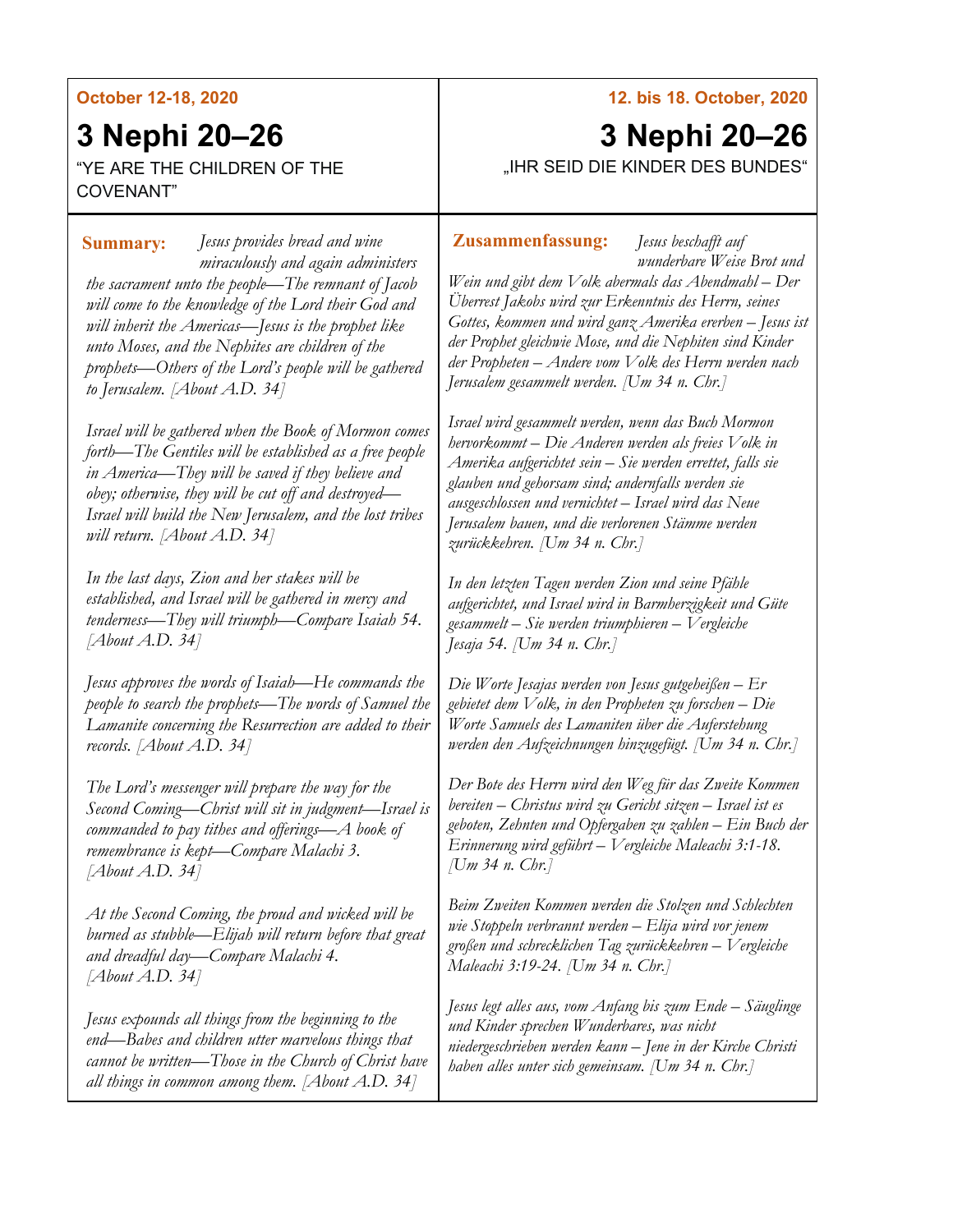#### **October 12-18, 2020**

# **3 Nephi 20–26**

"YE ARE THE CHILDREN OF THE COVENANT"

*Jesus provides bread and wine*  **Summary: Zusammenfassung:***miraculously and again administers the sacrament unto the people—The remnant of Jacob will come to the knowledge of the Lord their God and will inherit the Americas—Jesus is the prophet like unto Moses, and the Nephites are children of the prophets—Others of the Lord's people will be gathered to Jerusalem. [About A.D. 34]*

*Israel will be gathered when the Book of Mormon comes forth—The Gentiles will be established as a free people in America—They will be saved if they believe and obey; otherwise, they will be cut off and destroyed— Israel will build the New Jerusalem, and the lost tribes will return. [About A.D. 34]*

*In the last days, Zion and her stakes will be established, and Israel will be gathered in mercy and tenderness—They will triumph—Compare Isaiah 54. [About A.D. 34]*

*Jesus approves the words of Isaiah—He commands the people to search the prophets—The words of Samuel the Lamanite concerning the Resurrection are added to their records. [About A.D. 34]*

*The Lord's messenger will prepare the way for the Second Coming—Christ will sit in judgment—Israel is commanded to pay tithes and offerings—A book of remembrance is kept—Compare Malachi 3. [About A.D. 34]*

*At the Second Coming, the proud and wicked will be burned as stubble—Elijah will return before that great and dreadful day—Compare Malachi 4. [About A.D. 34]*

*Jesus expounds all things from the beginning to the end—Babes and children utter marvelous things that cannot be written—Those in the Church of Christ have all things in common among them. [About A.D. 34]*

#### **12. bis 18. October, 2020**

# **3 Nephi 20–26** "IHR SEID DIE KINDER DES BUNDES"

*Jesus beschafft auf wunderbare Weise Brot und* 

*Wein und gibt dem Volk abermals das Abendmahl – Der Überrest Jakobs wird zur Erkenntnis des Herrn, seines Gottes, kommen und wird ganz Amerika ererben – Jesus ist der Prophet gleichwie Mose, und die Nephiten sind Kinder der Propheten – Andere vom Volk des Herrn werden nach Jerusalem gesammelt werden. [Um 34 n. Chr.]*

*Israel wird gesammelt werden, wenn das Buch Mormon hervorkommt – Die Anderen werden als freies Volk in Amerika aufgerichtet sein – Sie werden errettet, falls sie glauben und gehorsam sind; andernfalls werden sie ausgeschlossen und vernichtet – Israel wird das Neue Jerusalem bauen, und die verlorenen Stämme werden zurückkehren. [Um 34 n. Chr.]*

*In den letzten Tagen werden Zion und seine Pfähle aufgerichtet, und Israel wird in Barmherzigkeit und Güte gesammelt – Sie werden triumphieren – Vergleiche Jesaja 54. [Um 34 n. Chr.]*

*Die Worte Jesajas werden von Jesus gutgeheißen – Er gebietet dem Volk, in den Propheten zu forschen – Die Worte Samuels des Lamaniten über die Auferstehung werden den Aufzeichnungen hinzugefügt. [Um 34 n. Chr.]*

*Der Bote des Herrn wird den Weg für das Zweite Kommen bereiten – Christus wird zu Gericht sitzen – Israel ist es geboten, Zehnten und Opfergaben zu zahlen – Ein Buch der Erinnerung wird geführt – Vergleiche Maleachi 3:1-18. [Um 34 n. Chr.]*

*Beim Zweiten Kommen werden die Stolzen und Schlechten wie Stoppeln verbrannt werden – Elija wird vor jenem großen und schrecklichen Tag zurückkehren – Vergleiche Maleachi 3:19-24. [Um 34 n. Chr.]*

*Jesus legt alles aus, vom Anfang bis zum Ende – Säuglinge und Kinder sprechen Wunderbares, was nicht niedergeschrieben werden kann – Jene in der Kirche Christi haben alles unter sich gemeinsam. [Um 34 n. Chr.]*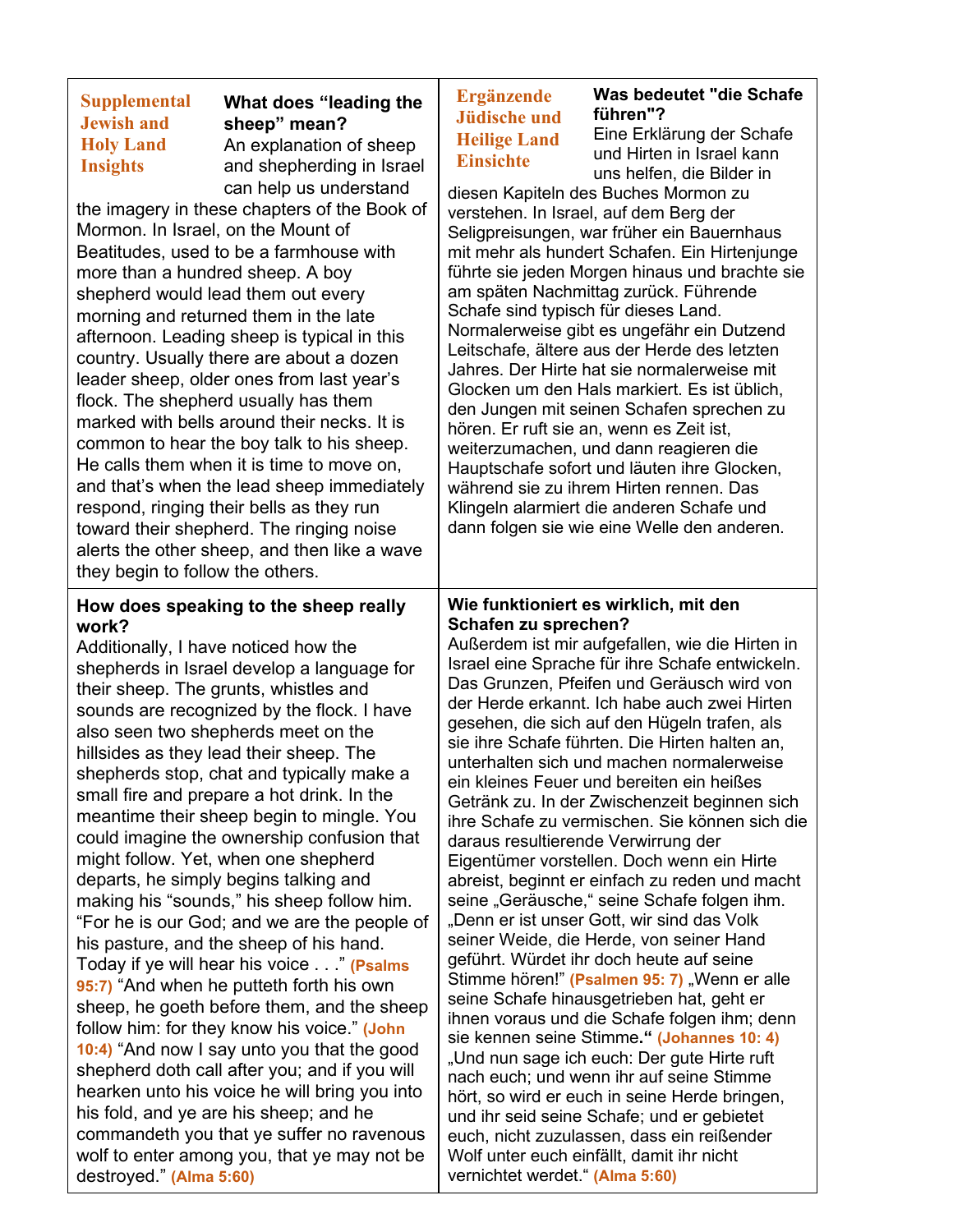| <b>Supplemental</b><br><b>Jewish and</b><br><b>Holy Land</b><br><b>Insights</b> | What does "leading the<br>sheep" mean?<br>An explanation of sheep<br>and shepherding in Israel<br>can help us understand | <b>Ergänzende</b><br><b>Jüdische und</b><br><b>Heilige Land</b><br><b>Einsichte</b> | <b>Was bedeu</b><br>führen"?<br>Eine Erklärt<br>und Hirten i<br>uns helfen, |
|---------------------------------------------------------------------------------|--------------------------------------------------------------------------------------------------------------------------|-------------------------------------------------------------------------------------|-----------------------------------------------------------------------------|
| the imagery in these chapters of the Book of                                    |                                                                                                                          | diesen Kapiteln des Buches Mo<br>verstehen. In Israel, auf dem B                    |                                                                             |
| Mormon. In Israel, on the Mount of                                              |                                                                                                                          | Seligpreisungen, war früher eir                                                     |                                                                             |
| Beatitudes, used to be a farmhouse with                                         |                                                                                                                          | mit mehr als hundert Schafen.                                                       |                                                                             |
| more than a hundred sheep. A boy                                                |                                                                                                                          | führte sie jeden Morgen hinaus                                                      |                                                                             |
| shepherd would lead them out every                                              |                                                                                                                          | am späten Nachmittag zurück.                                                        |                                                                             |
| morning and returned them in the late                                           |                                                                                                                          | Schafe sind typisch für dieses                                                      |                                                                             |
| afternoon. Leading sheep is typical in this                                     |                                                                                                                          | Normalerweise gibt es ungefäh                                                       |                                                                             |
| country. Usually there are about a dozen                                        |                                                                                                                          | Leitschafe, ältere aus der Herd<br>Jahres. Der Hirte hat sie norma                  |                                                                             |
| leader sheen, older ones from last vear's                                       |                                                                                                                          |                                                                                     |                                                                             |

leader sheep, older ones from last year's flock. The shepherd usually has them marked with bells around their necks. It is common to hear the boy talk to his sheep. He calls them when it is time to move on, and that's when the lead sheep immediately respond, ringing their bells as they run toward their shepherd. The ringing noise alerts the other sheep, and then like a wave they begin to follow the others.

#### **How does speaking to the sheep really work?**

Additionally, I have noticed how the shepherds in Israel develop a language for their sheep. The grunts, whistles and sounds are recognized by the flock. I have also seen two shepherds meet on the hillsides as they lead their sheep. The shepherds stop, chat and typically make a small fire and prepare a hot drink. In the meantime their sheep begin to mingle. You could imagine the ownership confusion that might follow. Yet, when one shepherd departs, he simply begins talking and making his "sounds," his sheep follow him. "For he is our God; and we are the people of his pasture, and the sheep of his hand. Today if ye will hear his voice . . ." **(Psalms 95:7)** "And when he putteth forth his own sheep, he goeth before them, and the sheep follow him: for they know his voice." **(John 10:4)** "And now I say unto you that the good shepherd doth call after you; and if you will hearken unto his voice he will bring you into his fold, and ye are his sheep; and he commandeth you that ye suffer no ravenous wolf to enter among you, that ye may not be destroyed." **(Alma 5:60)**

**tet "die Schafe** ung der Schafe n Israel kann die Bilder in

ormon zu erg der า Bauernhaus Ein Hirtenjunge und brachte sie Führende Land. ır ein Dutzend le des letzten alerweise mit Glocken um den Hals markiert. Es ist üblich, den Jungen mit seinen Schafen sprechen zu hören. Er ruft sie an, wenn es Zeit ist, weiterzumachen, und dann reagieren die Hauptschafe sofort und läuten ihre Glocken, während sie zu ihrem Hirten rennen. Das Klingeln alarmiert die anderen Schafe und dann folgen sie wie eine Welle den anderen.

#### **Wie funktioniert es wirklich, mit den Schafen zu sprechen?**

Außerdem ist mir aufgefallen, wie die Hirten in Israel eine Sprache für ihre Schafe entwickeln. Das Grunzen, Pfeifen und Geräusch wird von der Herde erkannt. Ich habe auch zwei Hirten gesehen, die sich auf den Hügeln trafen, als sie ihre Schafe führten. Die Hirten halten an, unterhalten sich und machen normalerweise ein kleines Feuer und bereiten ein heißes Getränk zu. In der Zwischenzeit beginnen sich ihre Schafe zu vermischen. Sie können sich die daraus resultierende Verwirrung der Eigentümer vorstellen. Doch wenn ein Hirte abreist, beginnt er einfach zu reden und macht seine "Geräusche," seine Schafe folgen ihm. "Denn er ist unser Gott, wir sind das Volk seiner Weide, die Herde, von seiner Hand geführt. Würdet ihr doch heute auf seine Stimme hören!" (Psalmen 95: 7) "Wenn er alle seine Schafe hinausgetrieben hat, geht er ihnen voraus und die Schafe folgen ihm; denn sie kennen seine Stimme**." (Johannes 10: 4)** "Und nun sage ich euch: Der gute Hirte ruft nach euch; und wenn ihr auf seine Stimme hört, so wird er euch in seine Herde bringen, und ihr seid seine Schafe; und er gebietet euch, nicht zuzulassen, dass ein reißender Wolf unter euch einfällt, damit ihr nicht vernichtet werdet." **(Alma 5:60)**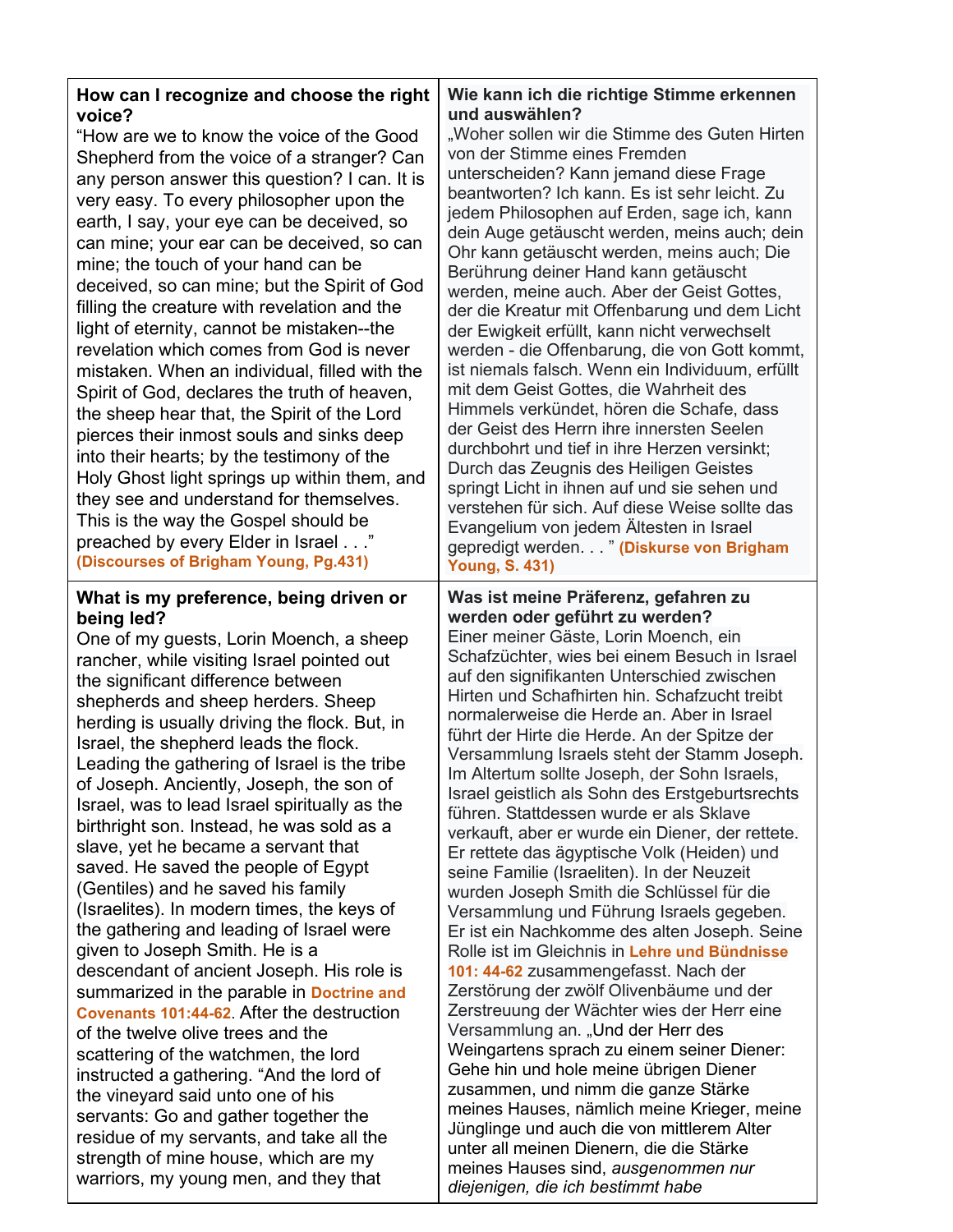| How can I recognize and choose the right<br>voice?<br>"How are we to know the voice of the Good<br>Shepherd from the voice of a stranger? Can<br>any person answer this question? I can. It is<br>very easy. To every philosopher upon the<br>earth, I say, your eye can be deceived, so<br>can mine; your ear can be deceived, so can<br>mine; the touch of your hand can be<br>deceived, so can mine; but the Spirit of God<br>filling the creature with revelation and the<br>light of eternity, cannot be mistaken--the<br>revelation which comes from God is never<br>mistaken. When an individual, filled with the<br>Spirit of God, declares the truth of heaven,<br>the sheep hear that, the Spirit of the Lord<br>pierces their inmost souls and sinks deep<br>into their hearts; by the testimony of the<br>Holy Ghost light springs up within them, and<br>they see and understand for themselves.<br>This is the way the Gospel should be<br>preached by every Elder in Israel"<br>(Discourses of Brigham Young, Pg.431)                                                                                                                                                                                                     | Wie kann ich die richtige Stimme erkennen<br>und auswählen?<br>"Woher sollen wir die Stimme des Guten Hirten<br>von der Stimme eines Fremden<br>unterscheiden? Kann jemand diese Frage<br>beantworten? Ich kann. Es ist sehr leicht. Zu<br>jedem Philosophen auf Erden, sage ich, kann<br>dein Auge getäuscht werden, meins auch; dein<br>Ohr kann getäuscht werden, meins auch; Die<br>Berührung deiner Hand kann getäuscht<br>werden, meine auch. Aber der Geist Gottes,<br>der die Kreatur mit Offenbarung und dem Licht<br>der Ewigkeit erfüllt, kann nicht verwechselt<br>werden - die Offenbarung, die von Gott kommt,<br>ist niemals falsch. Wenn ein Individuum, erfüllt<br>mit dem Geist Gottes, die Wahrheit des<br>Himmels verkündet, hören die Schafe, dass<br>der Geist des Herrn ihre innersten Seelen<br>durchbohrt und tief in ihre Herzen versinkt;<br>Durch das Zeugnis des Heiligen Geistes<br>springt Licht in ihnen auf und sie sehen und<br>verstehen für sich. Auf diese Weise sollte das<br>Evangelium von jedem Ältesten in Israel<br>gepredigt werden. " (Diskurse von Brigham<br><b>Young, S. 431)</b>                                                                                                                                                                                                                                                                                                |
|------------------------------------------------------------------------------------------------------------------------------------------------------------------------------------------------------------------------------------------------------------------------------------------------------------------------------------------------------------------------------------------------------------------------------------------------------------------------------------------------------------------------------------------------------------------------------------------------------------------------------------------------------------------------------------------------------------------------------------------------------------------------------------------------------------------------------------------------------------------------------------------------------------------------------------------------------------------------------------------------------------------------------------------------------------------------------------------------------------------------------------------------------------------------------------------------------------------------------------------|----------------------------------------------------------------------------------------------------------------------------------------------------------------------------------------------------------------------------------------------------------------------------------------------------------------------------------------------------------------------------------------------------------------------------------------------------------------------------------------------------------------------------------------------------------------------------------------------------------------------------------------------------------------------------------------------------------------------------------------------------------------------------------------------------------------------------------------------------------------------------------------------------------------------------------------------------------------------------------------------------------------------------------------------------------------------------------------------------------------------------------------------------------------------------------------------------------------------------------------------------------------------------------------------------------------------------------------------------------------------------------------------------------------------------------|
| What is my preference, being driven or<br>being led?<br>One of my guests, Lorin Moench, a sheep<br>rancher, while visiting Israel pointed out<br>the significant difference between<br>shepherds and sheep herders. Sheep<br>herding is usually driving the flock. But, in<br>Israel, the shepherd leads the flock.<br>Leading the gathering of Israel is the tribe<br>of Joseph. Anciently, Joseph, the son of<br>Israel, was to lead Israel spiritually as the<br>birthright son. Instead, he was sold as a<br>slave, yet he became a servant that<br>saved. He saved the people of Egypt<br>(Gentiles) and he saved his family<br>(Israelites). In modern times, the keys of<br>the gathering and leading of Israel were<br>given to Joseph Smith. He is a<br>descendant of ancient Joseph. His role is<br>summarized in the parable in Doctrine and<br>Covenants 101:44-62. After the destruction<br>of the twelve olive trees and the<br>scattering of the watchmen, the lord<br>instructed a gathering. "And the lord of<br>the vineyard said unto one of his<br>servants: Go and gather together the<br>residue of my servants, and take all the<br>strength of mine house, which are my<br>warriors, my young men, and they that | Was ist meine Präferenz, gefahren zu<br>werden oder geführt zu werden?<br>Einer meiner Gäste, Lorin Moench, ein<br>Schafzüchter, wies bei einem Besuch in Israel<br>auf den signifikanten Unterschied zwischen<br>Hirten und Schafhirten hin. Schafzucht treibt<br>normalerweise die Herde an. Aber in Israel<br>führt der Hirte die Herde. An der Spitze der<br>Versammlung Israels steht der Stamm Joseph.<br>Im Altertum sollte Joseph, der Sohn Israels,<br>Israel geistlich als Sohn des Erstgeburtsrechts<br>führen. Stattdessen wurde er als Sklave<br>verkauft, aber er wurde ein Diener, der rettete.<br>Er rettete das ägyptische Volk (Heiden) und<br>seine Familie (Israeliten). In der Neuzeit<br>wurden Joseph Smith die Schlüssel für die<br>Versammlung und Führung Israels gegeben.<br>Er ist ein Nachkomme des alten Joseph. Seine<br>Rolle ist im Gleichnis in Lehre und Bündnisse<br>101: 44-62 zusammengefasst. Nach der<br>Zerstörung der zwölf Olivenbäume und der<br>Zerstreuung der Wächter wies der Herr eine<br>Versammlung an. "Und der Herr des<br>Weingartens sprach zu einem seiner Diener:<br>Gehe hin und hole meine übrigen Diener<br>zusammen, und nimm die ganze Stärke<br>meines Hauses, nämlich meine Krieger, meine<br>Jünglinge und auch die von mittlerem Alter<br>unter all meinen Dienern, die die Stärke<br>meines Hauses sind, ausgenommen nur<br>diejenigen, die ich bestimmt habe |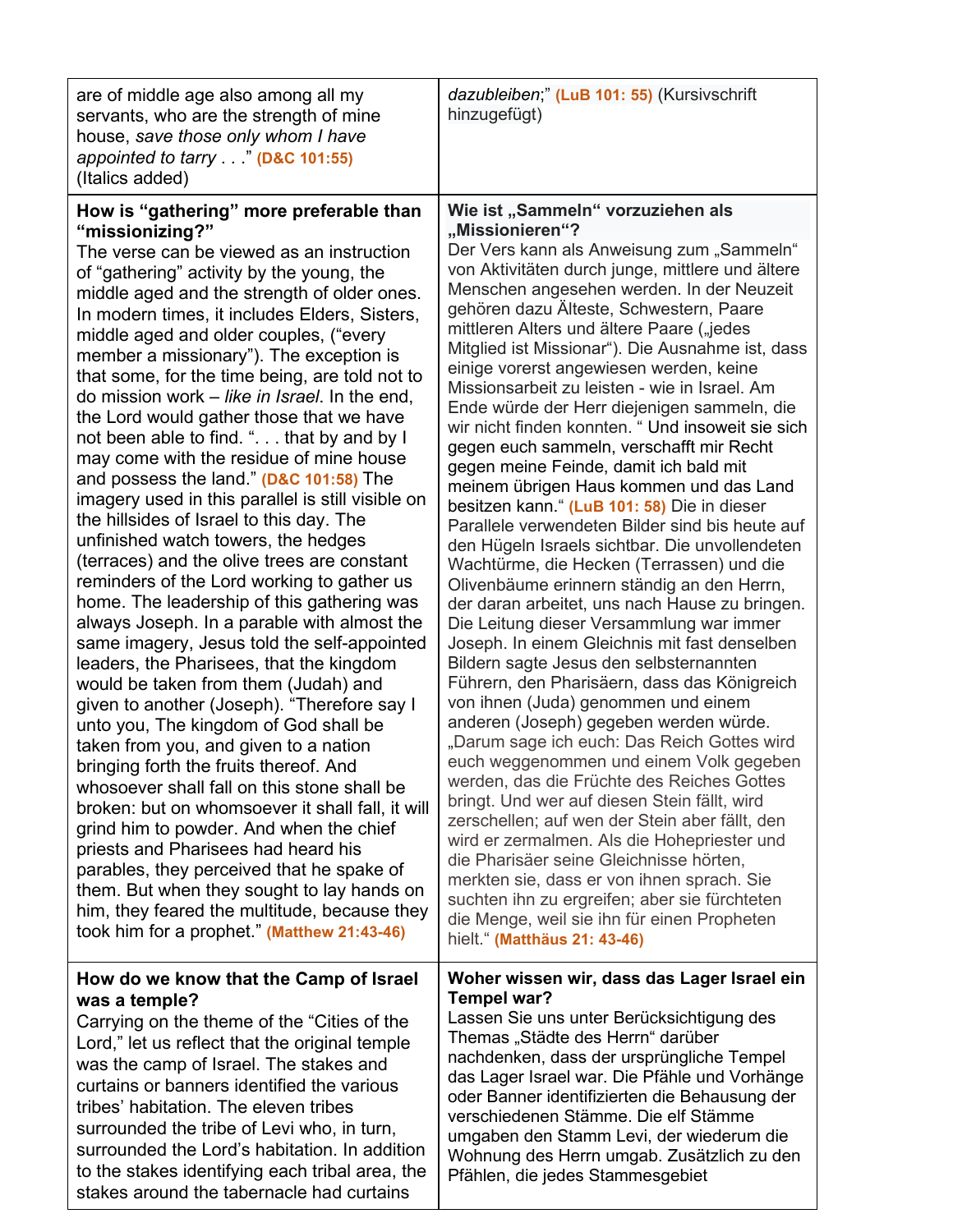| are of middle age also among all my<br>servants, who are the strength of mine<br>house, save those only whom I have<br>appointed to tarry" (D&C 101:55)<br>(Italics added)                                                                                                                                                                                                                                                                                                                                                                                                                                                                                                                                                                                                                                                                                                                                                                                                                                                                                                                                                                                                                                                                                                                                                                                                                                                                                                                                                                                                                                                                                  | dazubleiben;" (LuB 101: 55) (Kursivschrift<br>hinzugefügt)                                                                                                                                                                                                                                                                                                                                                                                                                                                                                                                                                                                                                                                                                                                                                                                                                                                                                                                                                                                                                                                                                                                                                                                                                                                                                                                                                                                                                                                                                                                                                                                                                                                                                                                 |
|-------------------------------------------------------------------------------------------------------------------------------------------------------------------------------------------------------------------------------------------------------------------------------------------------------------------------------------------------------------------------------------------------------------------------------------------------------------------------------------------------------------------------------------------------------------------------------------------------------------------------------------------------------------------------------------------------------------------------------------------------------------------------------------------------------------------------------------------------------------------------------------------------------------------------------------------------------------------------------------------------------------------------------------------------------------------------------------------------------------------------------------------------------------------------------------------------------------------------------------------------------------------------------------------------------------------------------------------------------------------------------------------------------------------------------------------------------------------------------------------------------------------------------------------------------------------------------------------------------------------------------------------------------------|----------------------------------------------------------------------------------------------------------------------------------------------------------------------------------------------------------------------------------------------------------------------------------------------------------------------------------------------------------------------------------------------------------------------------------------------------------------------------------------------------------------------------------------------------------------------------------------------------------------------------------------------------------------------------------------------------------------------------------------------------------------------------------------------------------------------------------------------------------------------------------------------------------------------------------------------------------------------------------------------------------------------------------------------------------------------------------------------------------------------------------------------------------------------------------------------------------------------------------------------------------------------------------------------------------------------------------------------------------------------------------------------------------------------------------------------------------------------------------------------------------------------------------------------------------------------------------------------------------------------------------------------------------------------------------------------------------------------------------------------------------------------------|
| How is "gathering" more preferable than<br>"missionizing?"<br>The verse can be viewed as an instruction<br>of "gathering" activity by the young, the<br>middle aged and the strength of older ones.<br>In modern times, it includes Elders, Sisters,<br>middle aged and older couples, ("every<br>member a missionary"). The exception is<br>that some, for the time being, are told not to<br>do mission work – like in Israel. In the end,<br>the Lord would gather those that we have<br>not been able to find. ". that by and by I<br>may come with the residue of mine house<br>and possess the land." (D&C 101:58) The<br>imagery used in this parallel is still visible on<br>the hillsides of Israel to this day. The<br>unfinished watch towers, the hedges<br>(terraces) and the olive trees are constant<br>reminders of the Lord working to gather us<br>home. The leadership of this gathering was<br>always Joseph. In a parable with almost the<br>same imagery, Jesus told the self-appointed<br>leaders, the Pharisees, that the kingdom<br>would be taken from them (Judah) and<br>given to another (Joseph). "Therefore say I<br>unto you, The kingdom of God shall be<br>taken from you, and given to a nation<br>bringing forth the fruits thereof. And<br>whosoever shall fall on this stone shall be<br>broken: but on whomsoever it shall fall, it will<br>grind him to powder. And when the chief<br>priests and Pharisees had heard his<br>parables, they perceived that he spake of<br>them. But when they sought to lay hands on<br>him, they feared the multitude, because they<br>took him for a prophet." (Matthew 21:43-46) | Wie ist "Sammeln" vorzuziehen als<br>"Missionieren"?<br>Der Vers kann als Anweisung zum "Sammeln"<br>von Aktivitäten durch junge, mittlere und ältere<br>Menschen angesehen werden. In der Neuzeit<br>gehören dazu Älteste, Schwestern, Paare<br>mittleren Alters und ältere Paare ("jedes<br>Mitglied ist Missionar"). Die Ausnahme ist, dass<br>einige vorerst angewiesen werden, keine<br>Missionsarbeit zu leisten - wie in Israel. Am<br>Ende würde der Herr diejenigen sammeln, die<br>wir nicht finden konnten. "Und insoweit sie sich<br>gegen euch sammeln, verschafft mir Recht<br>gegen meine Feinde, damit ich bald mit<br>meinem übrigen Haus kommen und das Land<br>besitzen kann." (LuB 101: 58) Die in dieser<br>Parallele verwendeten Bilder sind bis heute auf<br>den Hügeln Israels sichtbar. Die unvollendeten<br>Wachtürme, die Hecken (Terrassen) und die<br>Olivenbäume erinnern ständig an den Herrn,<br>der daran arbeitet, uns nach Hause zu bringen.<br>Die Leitung dieser Versammlung war immer<br>Joseph. In einem Gleichnis mit fast denselben<br>Bildern sagte Jesus den selbsternannten<br>Führern, den Pharisäern, dass das Königreich<br>von ihnen (Juda) genommen und einem<br>anderen (Joseph) gegeben werden würde.<br>"Darum sage ich euch: Das Reich Gottes wird<br>euch weggenommen und einem Volk gegeben<br>werden, das die Früchte des Reiches Gottes<br>bringt. Und wer auf diesen Stein fällt, wird<br>zerschellen; auf wen der Stein aber fällt, den<br>wird er zermalmen. Als die Hohepriester und<br>die Pharisäer seine Gleichnisse hörten,<br>merkten sie, dass er von ihnen sprach. Sie<br>suchten ihn zu ergreifen; aber sie fürchteten<br>die Menge, weil sie ihn für einen Propheten<br>hielt." (Matthäus 21: 43-46) |
| How do we know that the Camp of Israel<br>was a temple?<br>Carrying on the theme of the "Cities of the<br>Lord," let us reflect that the original temple<br>was the camp of Israel. The stakes and<br>curtains or banners identified the various<br>tribes' habitation. The eleven tribes<br>surrounded the tribe of Levi who, in turn,<br>surrounded the Lord's habitation. In addition<br>to the stakes identifying each tribal area, the<br>stakes around the tabernacle had curtains                                                                                                                                                                                                                                                                                                                                                                                                                                                                                                                                                                                                                                                                                                                                                                                                                                                                                                                                                                                                                                                                                                                                                                    | Woher wissen wir, dass das Lager Israel ein<br>Tempel war?<br>Lassen Sie uns unter Berücksichtigung des<br>Themas "Städte des Herrn" darüber<br>nachdenken, dass der ursprüngliche Tempel<br>das Lager Israel war. Die Pfähle und Vorhänge<br>oder Banner identifizierten die Behausung der<br>verschiedenen Stämme. Die elf Stämme<br>umgaben den Stamm Levi, der wiederum die<br>Wohnung des Herrn umgab. Zusätzlich zu den<br>Pfählen, die jedes Stammesgebiet                                                                                                                                                                                                                                                                                                                                                                                                                                                                                                                                                                                                                                                                                                                                                                                                                                                                                                                                                                                                                                                                                                                                                                                                                                                                                                          |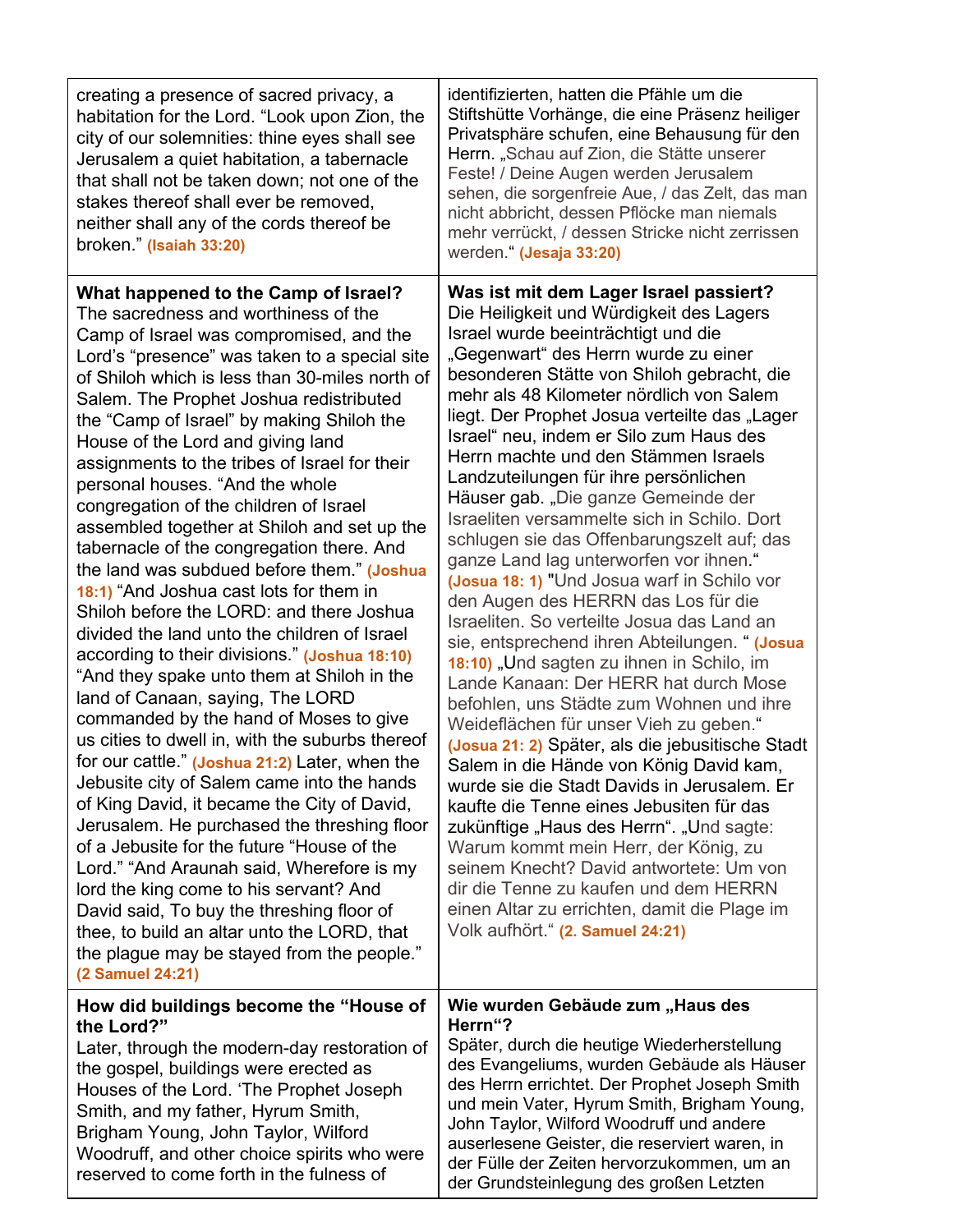| creating a presence of sacred privacy, a<br>habitation for the Lord. "Look upon Zion, the<br>city of our solemnities: thine eyes shall see<br>Jerusalem a quiet habitation, a tabernacle<br>that shall not be taken down; not one of the<br>stakes thereof shall ever be removed,<br>neither shall any of the cords thereof be<br>broken." (Isaiah 33:20)                                                                                                                                                                                                                                                                                                                                                                                                                                                                                                                                                                                                                                                                                                                                                                                                                                                                                                                                                                                                                                                                                                                                               | identifizierten, hatten die Pfähle um die<br>Stiftshütte Vorhänge, die eine Präsenz heiliger<br>Privatsphäre schufen, eine Behausung für den<br>Herrn. "Schau auf Zion, die Stätte unserer<br>Feste! / Deine Augen werden Jerusalem<br>sehen, die sorgenfreie Aue, / das Zelt, das man<br>nicht abbricht, dessen Pflöcke man niemals<br>mehr verrückt, / dessen Stricke nicht zerrissen<br>werden." (Jesaja 33:20)                                                                                                                                                                                                                                                                                                                                                                                                                                                                                                                                                                                                                                                                                                                                                                                                                                                                                                                                                                                                                            |
|---------------------------------------------------------------------------------------------------------------------------------------------------------------------------------------------------------------------------------------------------------------------------------------------------------------------------------------------------------------------------------------------------------------------------------------------------------------------------------------------------------------------------------------------------------------------------------------------------------------------------------------------------------------------------------------------------------------------------------------------------------------------------------------------------------------------------------------------------------------------------------------------------------------------------------------------------------------------------------------------------------------------------------------------------------------------------------------------------------------------------------------------------------------------------------------------------------------------------------------------------------------------------------------------------------------------------------------------------------------------------------------------------------------------------------------------------------------------------------------------------------|-----------------------------------------------------------------------------------------------------------------------------------------------------------------------------------------------------------------------------------------------------------------------------------------------------------------------------------------------------------------------------------------------------------------------------------------------------------------------------------------------------------------------------------------------------------------------------------------------------------------------------------------------------------------------------------------------------------------------------------------------------------------------------------------------------------------------------------------------------------------------------------------------------------------------------------------------------------------------------------------------------------------------------------------------------------------------------------------------------------------------------------------------------------------------------------------------------------------------------------------------------------------------------------------------------------------------------------------------------------------------------------------------------------------------------------------------|
| What happened to the Camp of Israel?<br>The sacredness and worthiness of the<br>Camp of Israel was compromised, and the<br>Lord's "presence" was taken to a special site<br>of Shiloh which is less than 30-miles north of<br>Salem. The Prophet Joshua redistributed<br>the "Camp of Israel" by making Shiloh the<br>House of the Lord and giving land<br>assignments to the tribes of Israel for their<br>personal houses. "And the whole<br>congregation of the children of Israel<br>assembled together at Shiloh and set up the<br>tabernacle of the congregation there. And<br>the land was subdued before them." (Joshua<br>18:1) "And Joshua cast lots for them in<br>Shiloh before the LORD: and there Joshua<br>divided the land unto the children of Israel<br>according to their divisions." (Joshua 18:10)<br>"And they spake unto them at Shiloh in the<br>land of Canaan, saying, The LORD<br>commanded by the hand of Moses to give<br>us cities to dwell in, with the suburbs thereof<br>for our cattle." (Joshua 21:2) Later, when the<br>Jebusite city of Salem came into the hands<br>of King David, it became the City of David,<br>Jerusalem. He purchased the threshing floor<br>of a Jebusite for the future "House of the<br>Lord." "And Araunah said, Wherefore is my<br>lord the king come to his servant? And<br>David said, To buy the threshing floor of<br>thee, to build an altar unto the LORD, that<br>the plague may be stayed from the people."<br>(2 Samuel 24:21) | Was ist mit dem Lager Israel passiert?<br>Die Heiligkeit und Würdigkeit des Lagers<br>Israel wurde beeinträchtigt und die<br>"Gegenwart" des Herrn wurde zu einer<br>besonderen Stätte von Shiloh gebracht, die<br>mehr als 48 Kilometer nördlich von Salem<br>liegt. Der Prophet Josua verteilte das "Lager<br>Israel" neu, indem er Silo zum Haus des<br>Herrn machte und den Stämmen Israels<br>Landzuteilungen für ihre persönlichen<br>Häuser gab. "Die ganze Gemeinde der<br>Israeliten versammelte sich in Schilo. Dort<br>schlugen sie das Offenbarungszelt auf; das<br>ganze Land lag unterworfen vor ihnen."<br>(Josua 18: 1) "Und Josua warf in Schilo vor<br>den Augen des HERRN das Los für die<br>Israeliten. So verteilte Josua das Land an<br>sie, entsprechend ihren Abteilungen. " (Josua<br>18:10) "Und sagten zu ihnen in Schilo, im<br>Lande Kanaan: Der HERR hat durch Mose<br>befohlen, uns Städte zum Wohnen und ihre<br>Weideflächen für unser Vieh zu geben."<br>(Josua 21: 2) Später, als die jebusitische Stadt<br>Salem in die Hände von König David kam,<br>wurde sie die Stadt Davids in Jerusalem. Er<br>kaufte die Tenne eines Jebusiten für das<br>zukünftige "Haus des Herrn". "Und sagte:<br>Warum kommt mein Herr, der König, zu<br>seinem Knecht? David antwortete: Um von<br>dir die Tenne zu kaufen und dem HERRN<br>einen Altar zu errichten, damit die Plage im<br>Volk aufhört." (2. Samuel 24:21) |
| How did buildings become the "House of<br>the Lord?"<br>Later, through the modern-day restoration of<br>the gospel, buildings were erected as<br>Houses of the Lord. 'The Prophet Joseph<br>Smith, and my father, Hyrum Smith,<br>Brigham Young, John Taylor, Wilford<br>Woodruff, and other choice spirits who were<br>reserved to come forth in the fulness of                                                                                                                                                                                                                                                                                                                                                                                                                                                                                                                                                                                                                                                                                                                                                                                                                                                                                                                                                                                                                                                                                                                                        | Wie wurden Gebäude zum "Haus des<br>Herrn"?<br>Später, durch die heutige Wiederherstellung<br>des Evangeliums, wurden Gebäude als Häuser<br>des Herrn errichtet. Der Prophet Joseph Smith<br>und mein Vater, Hyrum Smith, Brigham Young,<br>John Taylor, Wilford Woodruff und andere<br>auserlesene Geister, die reserviert waren, in<br>der Fülle der Zeiten hervorzukommen, um an<br>der Grundsteinlegung des großen Letzten                                                                                                                                                                                                                                                                                                                                                                                                                                                                                                                                                                                                                                                                                                                                                                                                                                                                                                                                                                                                                |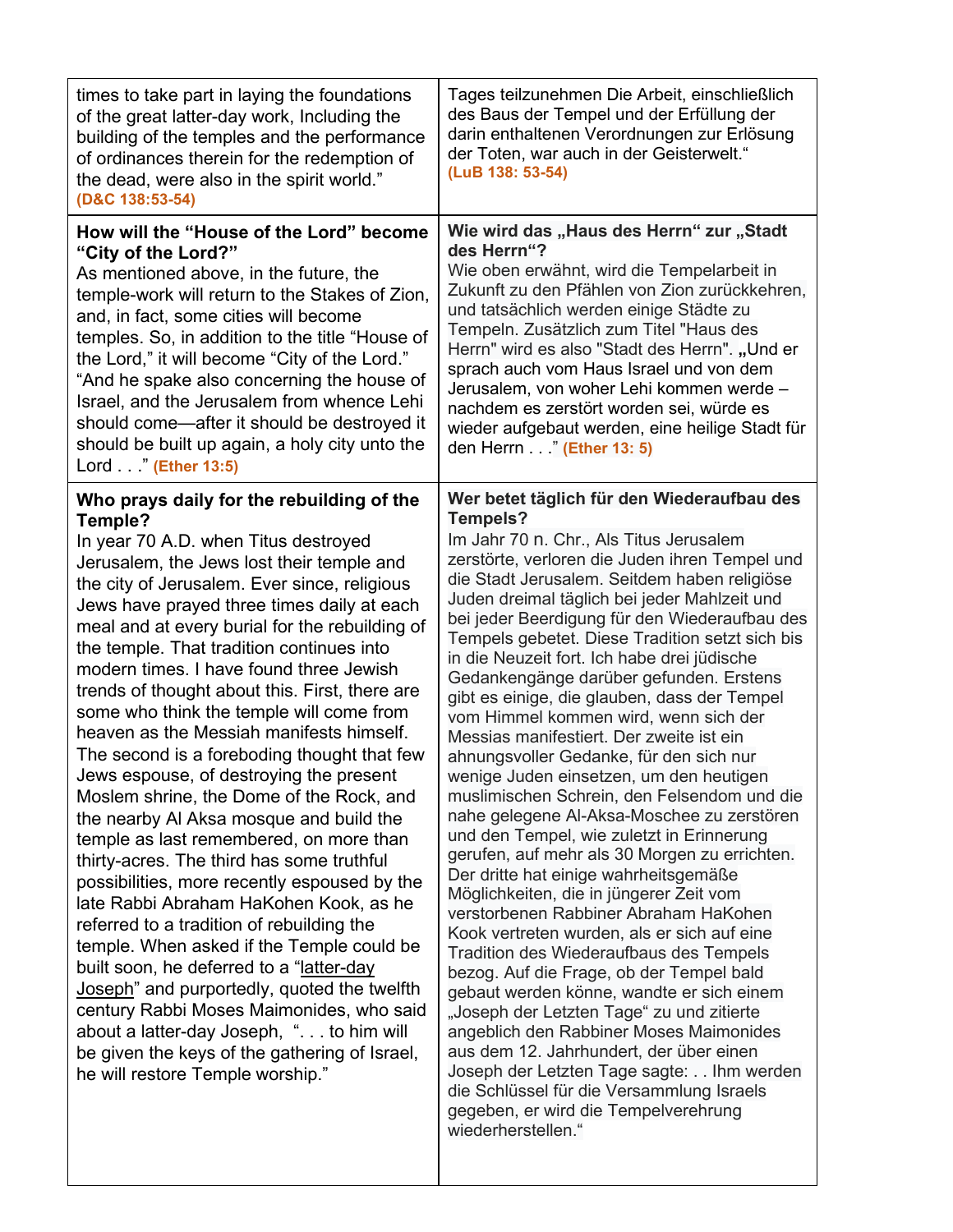| times to take part in laying the foundations<br>of the great latter-day work, Including the<br>building of the temples and the performance<br>of ordinances therein for the redemption of<br>the dead, were also in the spirit world."<br>(D&C 138:53-54)                                                                                                                                                                                                                                                                                                                                                                                                                                                                                                                                                                                                                                                                                                                                                                                                                                                                                                                                                                                                         | Tages teilzunehmen Die Arbeit, einschließlich<br>des Baus der Tempel und der Erfüllung der<br>darin enthaltenen Verordnungen zur Erlösung<br>der Toten, war auch in der Geisterwelt."<br>(LuB 138: 53-54)                                                                                                                                                                                                                                                                                                                                                                                                                                                                                                                                                                                                                                                                                                                                                                                                                                                                                                                                                                                                                                                                                                                                                                                                                                                                                 |
|-------------------------------------------------------------------------------------------------------------------------------------------------------------------------------------------------------------------------------------------------------------------------------------------------------------------------------------------------------------------------------------------------------------------------------------------------------------------------------------------------------------------------------------------------------------------------------------------------------------------------------------------------------------------------------------------------------------------------------------------------------------------------------------------------------------------------------------------------------------------------------------------------------------------------------------------------------------------------------------------------------------------------------------------------------------------------------------------------------------------------------------------------------------------------------------------------------------------------------------------------------------------|-------------------------------------------------------------------------------------------------------------------------------------------------------------------------------------------------------------------------------------------------------------------------------------------------------------------------------------------------------------------------------------------------------------------------------------------------------------------------------------------------------------------------------------------------------------------------------------------------------------------------------------------------------------------------------------------------------------------------------------------------------------------------------------------------------------------------------------------------------------------------------------------------------------------------------------------------------------------------------------------------------------------------------------------------------------------------------------------------------------------------------------------------------------------------------------------------------------------------------------------------------------------------------------------------------------------------------------------------------------------------------------------------------------------------------------------------------------------------------------------|
| How will the "House of the Lord" become<br>"City of the Lord?"<br>As mentioned above, in the future, the<br>temple-work will return to the Stakes of Zion,<br>and, in fact, some cities will become<br>temples. So, in addition to the title "House of<br>the Lord," it will become "City of the Lord."<br>"And he spake also concerning the house of<br>Israel, and the Jerusalem from whence Lehi<br>should come—after it should be destroyed it<br>should be built up again, a holy city unto the<br>Lord" (Ether 13:5)                                                                                                                                                                                                                                                                                                                                                                                                                                                                                                                                                                                                                                                                                                                                        | Wie wird das "Haus des Herrn" zur "Stadt<br>des Herrn"?<br>Wie oben erwähnt, wird die Tempelarbeit in<br>Zukunft zu den Pfählen von Zion zurückkehren,<br>und tatsächlich werden einige Städte zu<br>Tempeln. Zusätzlich zum Titel "Haus des<br>Herrn" wird es also "Stadt des Herrn". "Und er<br>sprach auch vom Haus Israel und von dem<br>Jerusalem, von woher Lehi kommen werde -<br>nachdem es zerstört worden sei, würde es<br>wieder aufgebaut werden, eine heilige Stadt für<br>den Herrn" (Ether 13: 5)                                                                                                                                                                                                                                                                                                                                                                                                                                                                                                                                                                                                                                                                                                                                                                                                                                                                                                                                                                          |
| Who prays daily for the rebuilding of the<br>Temple?<br>In year 70 A.D. when Titus destroyed<br>Jerusalem, the Jews lost their temple and<br>the city of Jerusalem. Ever since, religious<br>Jews have prayed three times daily at each<br>meal and at every burial for the rebuilding of<br>the temple. That tradition continues into<br>modern times. I have found three Jewish<br>trends of thought about this. First, there are<br>some who think the temple will come from<br>heaven as the Messiah manifests himself.<br>The second is a foreboding thought that few<br>Jews espouse, of destroying the present<br>Moslem shrine, the Dome of the Rock, and<br>the nearby AI Aksa mosque and build the<br>temple as last remembered, on more than<br>thirty-acres. The third has some truthful<br>possibilities, more recently espoused by the<br>late Rabbi Abraham HaKohen Kook, as he<br>referred to a tradition of rebuilding the<br>temple. When asked if the Temple could be<br>built soon, he deferred to a "latter-day<br>Joseph" and purportedly, quoted the twelfth<br>century Rabbi Moses Maimonides, who said<br>about a latter-day Joseph, ". to him will<br>be given the keys of the gathering of Israel,<br>he will restore Temple worship." | Wer betet täglich für den Wiederaufbau des<br><b>Tempels?</b><br>Im Jahr 70 n. Chr., Als Titus Jerusalem<br>zerstörte, verloren die Juden ihren Tempel und<br>die Stadt Jerusalem. Seitdem haben religiöse<br>Juden dreimal täglich bei jeder Mahlzeit und<br>bei jeder Beerdigung für den Wiederaufbau des<br>Tempels gebetet. Diese Tradition setzt sich bis<br>in die Neuzeit fort. Ich habe drei jüdische<br>Gedankengänge darüber gefunden. Erstens<br>gibt es einige, die glauben, dass der Tempel<br>vom Himmel kommen wird, wenn sich der<br>Messias manifestiert. Der zweite ist ein<br>ahnungsvoller Gedanke, für den sich nur<br>wenige Juden einsetzen, um den heutigen<br>muslimischen Schrein, den Felsendom und die<br>nahe gelegene Al-Aksa-Moschee zu zerstören<br>und den Tempel, wie zuletzt in Erinnerung<br>gerufen, auf mehr als 30 Morgen zu errichten.<br>Der dritte hat einige wahrheitsgemäße<br>Möglichkeiten, die in jüngerer Zeit vom<br>verstorbenen Rabbiner Abraham HaKohen<br>Kook vertreten wurden, als er sich auf eine<br>Tradition des Wiederaufbaus des Tempels<br>bezog. Auf die Frage, ob der Tempel bald<br>gebaut werden könne, wandte er sich einem<br>"Joseph der Letzten Tage" zu und zitierte<br>angeblich den Rabbiner Moses Maimonides<br>aus dem 12. Jahrhundert, der über einen<br>Joseph der Letzten Tage sagte: Ihm werden<br>die Schlüssel für die Versammlung Israels<br>gegeben, er wird die Tempelverehrung<br>wiederherstellen." |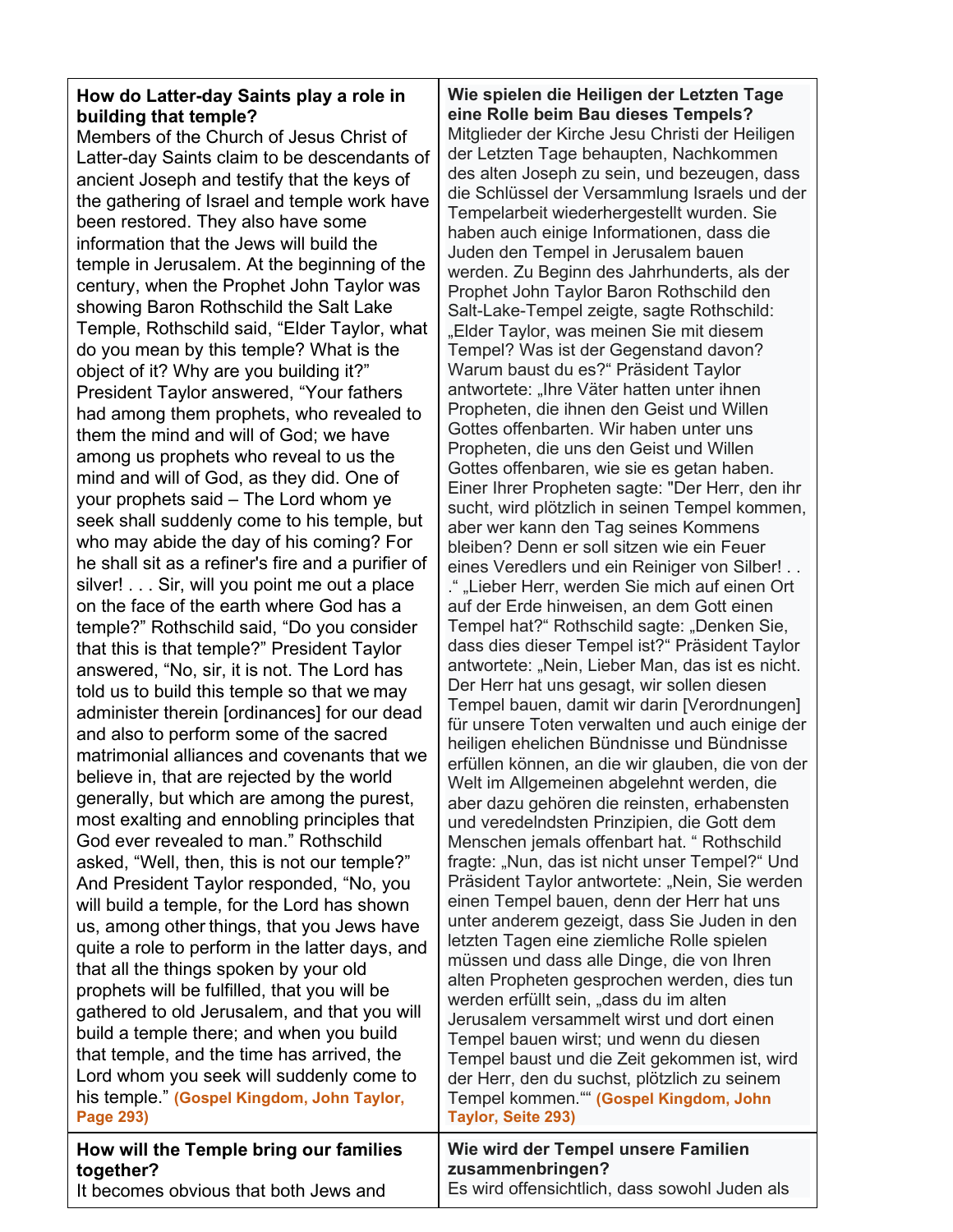# **How do Latter-day Saints play a role in building that temple?**

Members of the Church of Jesus Christ of Latter-day Saints claim to be descendants of ancient Joseph and testify that the keys of the gathering of Israel and temple work have been restored. They also have some information that the Jews will build the temple in Jerusalem. At the beginning of the century, when the Prophet John Taylor was showing Baron Rothschild the Salt Lake Temple, Rothschild said, "Elder Taylor, what do you mean by this temple? What is the object of it? Why are you building it?" President Taylor answered, "Your fathers had among them prophets, who revealed to them the mind and will of God; we have among us prophets who reveal to us the mind and will of God, as they did. One of your prophets said – The Lord whom ye seek shall suddenly come to his temple, but who may abide the day of his coming? For he shall sit as a refiner's fire and a purifier of silver! . . . Sir, will you point me out a place on the face of the earth where God has a temple?" Rothschild said, "Do you consider that this is that temple?" President Taylor answered, "No, sir, it is not. The Lord has told us to build this temple so that we may administer therein [ordinances] for our dead and also to perform some of the sacred matrimonial alliances and covenants that we believe in, that are rejected by the world generally, but which are among the purest, most exalting and ennobling principles that God ever revealed to man." Rothschild asked, "Well, then, this is not our temple?" And President Taylor responded, "No, you will build a temple, for the Lord has shown us, among other things, that you Jews have quite a role to perform in the latter days, and that all the things spoken by your old prophets will be fulfilled, that you will be gathered to old Jerusalem, and that you will build a temple there; and when you build that temple, and the time has arrived, the Lord whom you seek will suddenly come to his temple." **(Gospel Kingdom, John Taylor, Page 293)**

### **How will the Temple bring our families together?**

**Wie spielen die Heiligen der Letzten Tage eine Rolle beim Bau dieses Tempels?** Mitglieder der Kirche Jesu Christi der Heiligen der Letzten Tage behaupten, Nachkommen des alten Joseph zu sein, und bezeugen, dass die Schlüssel der Versammlung Israels und der Tempelarbeit wiederhergestellt wurden. Sie haben auch einige Informationen, dass die Juden den Tempel in Jerusalem bauen werden. Zu Beginn des Jahrhunderts, als der Prophet John Taylor Baron Rothschild den Salt-Lake-Tempel zeigte, sagte Rothschild: "Elder Taylor, was meinen Sie mit diesem Tempel? Was ist der Gegenstand davon? Warum baust du es?" Präsident Taylor antwortete: "Ihre Väter hatten unter ihnen Propheten, die ihnen den Geist und Willen Gottes offenbarten. Wir haben unter uns Propheten, die uns den Geist und Willen Gottes offenbaren, wie sie es getan haben. Einer Ihrer Propheten sagte: "Der Herr, den ihr sucht, wird plötzlich in seinen Tempel kommen, aber wer kann den Tag seines Kommens bleiben? Denn er soll sitzen wie ein Feuer eines Veredlers und ein Reiniger von Silber! . . ." "Lieber Herr, werden Sie mich auf einen Ort auf der Erde hinweisen, an dem Gott einen Tempel hat?" Rothschild sagte: "Denken Sie, dass dies dieser Tempel ist?" Präsident Taylor antwortete: "Nein, Lieber Man, das ist es nicht. Der Herr hat uns gesagt, wir sollen diesen Tempel bauen, damit wir darin [Verordnungen] für unsere Toten verwalten und auch einige der heiligen ehelichen Bündnisse und Bündnisse erfüllen können, an die wir glauben, die von der Welt im Allgemeinen abgelehnt werden, die aber dazu gehören die reinsten, erhabensten und veredelndsten Prinzipien, die Gott dem Menschen jemals offenbart hat. " Rothschild fragte: "Nun, das ist nicht unser Tempel?" Und Präsident Taylor antwortete: "Nein, Sie werden einen Tempel bauen, denn der Herr hat uns unter anderem gezeigt, dass Sie Juden in den letzten Tagen eine ziemliche Rolle spielen müssen und dass alle Dinge, die von Ihren alten Propheten gesprochen werden, dies tun werden erfüllt sein, "dass du im alten Jerusalem versammelt wirst und dort einen Tempel bauen wirst; und wenn du diesen Tempel baust und die Zeit gekommen ist, wird der Herr, den du suchst, plötzlich zu seinem Tempel kommen."" **(Gospel Kingdom, John Taylor, Seite 293)**

# **Wie wird der Tempel unsere Familien zusammenbringen?**

It becomes obvious that both Jews and

Es wird offensichtlich, dass sowohl Juden als